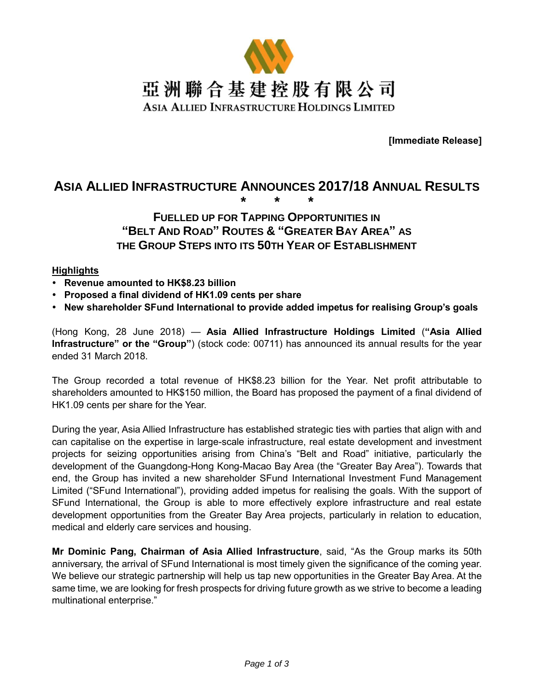

**[Immediate Release]**

# **ASIA ALLIED INFRASTRUCTURE ANNOUNCES 2017/18 ANNUAL RESULTS \* \* \***

## **FUELLED UP FOR TAPPING OPPORTUNITIES IN "BELT AND ROAD" ROUTES & "GREATER BAY AREA" AS THE GROUP STEPS INTO ITS 50TH YEAR OF ESTABLISHMENT**

#### **Highlights**

- **Revenue amounted to HK\$8.23 billion**
- **Proposed a final dividend of HK1.09 cents per share**
- **New shareholder SFund International to provide added impetus for realising Group's goals**

(Hong Kong, 28 June 2018) — **Asia Allied Infrastructure Holdings Limited** (**"Asia Allied Infrastructure" or the "Group"**) (stock code: 00711) has announced its annual results for the year ended 31 March 2018.

The Group recorded a total revenue of HK\$8.23 billion for the Year. Net profit attributable to shareholders amounted to HK\$150 million, the Board has proposed the payment of a final dividend of HK1.09 cents per share for the Year.

During the year, Asia Allied Infrastructure has established strategic ties with parties that align with and can capitalise on the expertise in large-scale infrastructure, real estate development and investment projects for seizing opportunities arising from China's "Belt and Road" initiative, particularly the development of the Guangdong-Hong Kong-Macao Bay Area (the "Greater Bay Area"). Towards that end, the Group has invited a new shareholder SFund International Investment Fund Management Limited ("SFund International"), providing added impetus for realising the goals. With the support of SFund International, the Group is able to more effectively explore infrastructure and real estate development opportunities from the Greater Bay Area projects, particularly in relation to education, medical and elderly care services and housing.

**Mr Dominic Pang, Chairman of Asia Allied Infrastructure**, said, "As the Group marks its 50th anniversary, the arrival of SFund International is most timely given the significance of the coming year. We believe our strategic partnership will help us tap new opportunities in the Greater Bay Area. At the same time, we are looking for fresh prospects for driving future growth as we strive to become a leading multinational enterprise."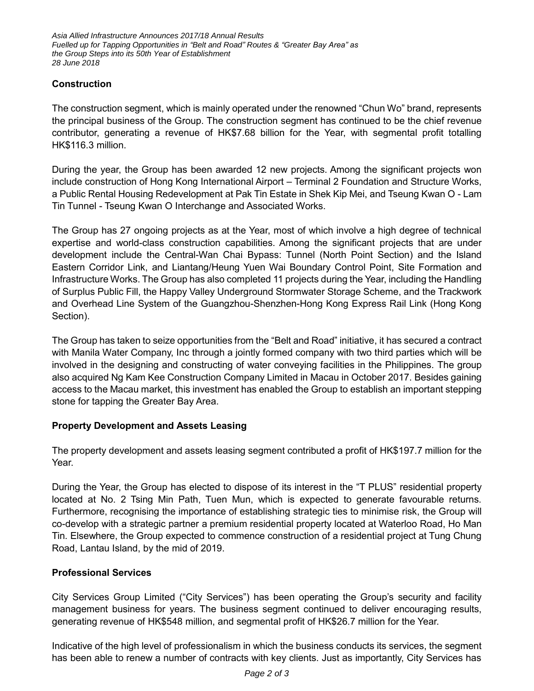*Asia Allied Infrastructure Announces 2017/18 Annual Results Fuelled up for Tapping Opportunities in "Belt and Road" Routes & "Greater Bay Area" as the Group Steps into its 50th Year of Establishment 28 June 2018*

### **Construction**

The construction segment, which is mainly operated under the renowned "Chun Wo" brand, represents the principal business of the Group. The construction segment has continued to be the chief revenue contributor, generating a revenue of HK\$7.68 billion for the Year, with segmental profit totalling HK\$116.3 million.

During the year, the Group has been awarded 12 new projects. Among the significant projects won include construction of Hong Kong International Airport – Terminal 2 Foundation and Structure Works, a Public Rental Housing Redevelopment at Pak Tin Estate in Shek Kip Mei, and Tseung Kwan O - Lam Tin Tunnel - Tseung Kwan O Interchange and Associated Works.

The Group has 27 ongoing projects as at the Year, most of which involve a high degree of technical expertise and world-class construction capabilities. Among the significant projects that are under development include the Central-Wan Chai Bypass: Tunnel (North Point Section) and the Island Eastern Corridor Link, and Liantang/Heung Yuen Wai Boundary Control Point, Site Formation and Infrastructure Works. The Group has also completed 11 projects during the Year, including the Handling of Surplus Public Fill, the Happy Valley Underground Stormwater Storage Scheme, and the Trackwork and Overhead Line System of the Guangzhou-Shenzhen-Hong Kong Express Rail Link (Hong Kong Section).

The Group has taken to seize opportunities from the "Belt and Road" initiative, it has secured a contract with Manila Water Company, Inc through a jointly formed company with two third parties which will be involved in the designing and constructing of water conveying facilities in the Philippines. The group also acquired Ng Kam Kee Construction Company Limited in Macau in October 2017. Besides gaining access to the Macau market, this investment has enabled the Group to establish an important stepping stone for tapping the Greater Bay Area.

#### **Property Development and Assets Leasing**

The property development and assets leasing segment contributed a profit of HK\$197.7 million for the Year.

During the Year, the Group has elected to dispose of its interest in the "T PLUS" residential property located at No. 2 Tsing Min Path, Tuen Mun, which is expected to generate favourable returns. Furthermore, recognising the importance of establishing strategic ties to minimise risk, the Group will co-develop with a strategic partner a premium residential property located at Waterloo Road, Ho Man Tin. Elsewhere, the Group expected to commence construction of a residential project at Tung Chung Road, Lantau Island, by the mid of 2019.

## **Professional Services**

City Services Group Limited ("City Services") has been operating the Group's security and facility management business for years. The business segment continued to deliver encouraging results, generating revenue of HK\$548 million, and segmental profit of HK\$26.7 million for the Year.

Indicative of the high level of professionalism in which the business conducts its services, the segment has been able to renew a number of contracts with key clients. Just as importantly, City Services has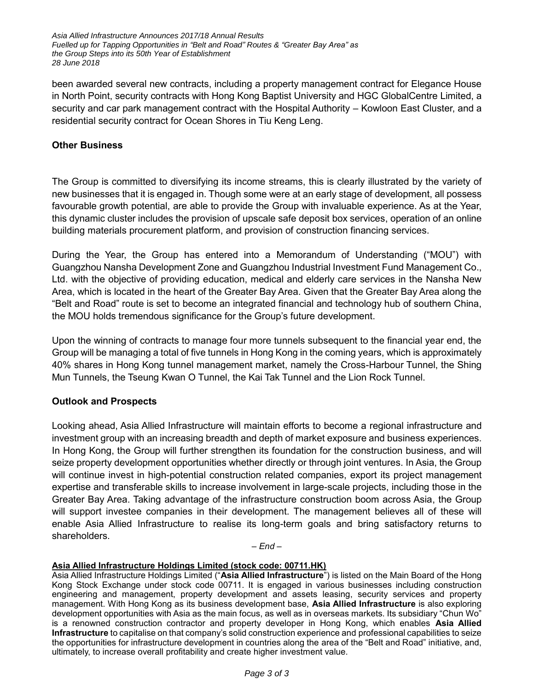*Asia Allied Infrastructure Announces 2017/18 Annual Results Fuelled up for Tapping Opportunities in "Belt and Road" Routes & "Greater Bay Area" as the Group Steps into its 50th Year of Establishment 28 June 2018*

been awarded several new contracts, including a property management contract for Elegance House in North Point, security contracts with Hong Kong Baptist University and HGC GlobalCentre Limited, a security and car park management contract with the Hospital Authority – Kowloon East Cluster, and a residential security contract for Ocean Shores in Tiu Keng Leng.

#### **Other Business**

The Group is committed to diversifying its income streams, this is clearly illustrated by the variety of new businesses that it is engaged in. Though some were at an early stage of development, all possess favourable growth potential, are able to provide the Group with invaluable experience. As at the Year, this dynamic cluster includes the provision of upscale safe deposit box services, operation of an online building materials procurement platform, and provision of construction financing services.

During the Year, the Group has entered into a Memorandum of Understanding ("MOU") with Guangzhou Nansha Development Zone and Guangzhou Industrial Investment Fund Management Co., Ltd. with the objective of providing education, medical and elderly care services in the Nansha New Area, which is located in the heart of the Greater Bay Area. Given that the Greater Bay Area along the "Belt and Road" route is set to become an integrated financial and technology hub of southern China, the MOU holds tremendous significance for the Group's future development.

Upon the winning of contracts to manage four more tunnels subsequent to the financial year end, the Group will be managing a total of five tunnels in Hong Kong in the coming years, which is approximately 40% shares in Hong Kong tunnel management market, namely the Cross-Harbour Tunnel, the Shing Mun Tunnels, the Tseung Kwan O Tunnel, the Kai Tak Tunnel and the Lion Rock Tunnel.

## **Outlook and Prospects**

Looking ahead, Asia Allied Infrastructure will maintain efforts to become a regional infrastructure and investment group with an increasing breadth and depth of market exposure and business experiences. In Hong Kong, the Group will further strengthen its foundation for the construction business, and will seize property development opportunities whether directly or through joint ventures. In Asia, the Group will continue invest in high-potential construction related companies, export its project management expertise and transferable skills to increase involvement in large-scale projects, including those in the Greater Bay Area. Taking advantage of the infrastructure construction boom across Asia, the Group will support investee companies in their development. The management believes all of these will enable Asia Allied Infrastructure to realise its long-term goals and bring satisfactory returns to shareholders.

*– End –*

#### **Asia Allied Infrastructure Holdings Limited (stock code: 00711.HK)**

Asia Allied Infrastructure Holdings Limited ("**Asia Allied Infrastructure**") is listed on the Main Board of the Hong Kong Stock Exchange under stock code 00711. It is engaged in various businesses including construction engineering and management, property development and assets leasing, security services and property management. With Hong Kong as its business development base, **Asia Allied Infrastructure** is also exploring development opportunities with Asia as the main focus, as well as in overseas markets. Its subsidiary "Chun Wo" is a renowned construction contractor and property developer in Hong Kong, which enables **Asia Allied Infrastructure** to capitalise on that company's solid construction experience and professional capabilities to seize the opportunities for infrastructure development in countries along the area of the "Belt and Road" initiative, and, ultimately, to increase overall profitability and create higher investment value.